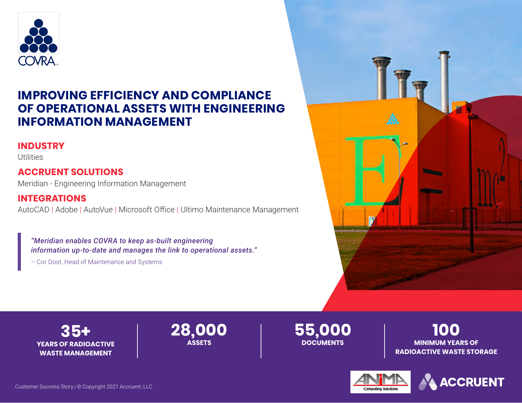

# **IMPROVING EFFICIENCY AND COMPLIANCE OF OPERATIONAL ASSETS WITH ENGINEERING INFORMATION MANAGEMENT**

#### **INDUSTRY**

**Utilities** 

## **ACCRUENT SOLUTIONS**

Meridian - Engineering Information Management

**INTEGRATIONS** AutoCAD | Adobe | AutoVue | Microsoft Office | Ultimo Maintenance Management

*"Meridian enables COVRA to keep as-built engineering information up-to-date and manages the link to operational assets."*

– Cor Dost, Head of Maintenance and Systems



**35+ YEARS OF RADIOACTIVE WASTE MANAGEMENT**

**28,000 ASSETS**

**55,000 DOCUMENTS**

**100 MINIMUM YEARS OF RADIOACTIVE WASTE STORAGE**